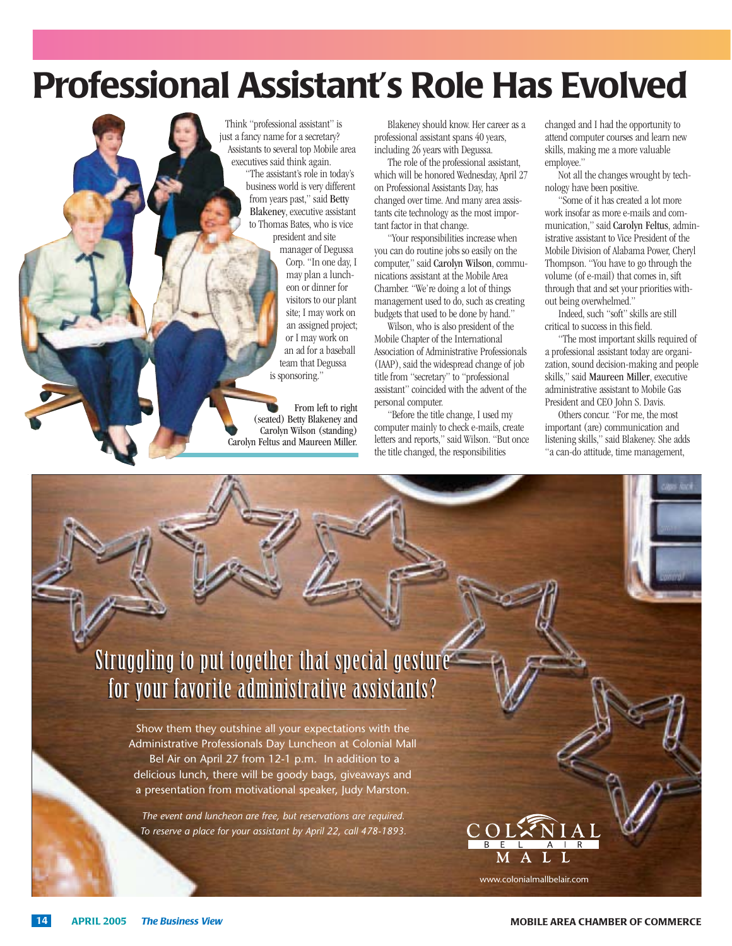# **Professional Assistant's Role Has Evolved**

Think "professional assistant" is just a fancy name for a secretary? Assistants to several top Mobile area executives said think again. "The assistant's role in today's business world is very different from years past," said Betty Blakeney, executive assistant to Thomas Bates, who is vice president and site manager of Degussa Corp. "In one day, I may plan a luncheon or dinner for visitors to our plant site; I may work on

> an assigned project; or I may work on an ad for a baseball team that Degussa is sponsoring."

From left to right (seated) Betty Blakeney and Carolyn Wilson (standing) Carolyn Feltus and Maureen Miller.

Blakeney should know. Her career as a professional assistant spans 40 years, including 26 years with Degussa.

The role of the professional assistant, which will be honored Wednesday, April 27 on Professional Assistants Day, has changed over time. And many area assistants cite technology as the most important factor in that change.

"Your responsibilities increase when you can do routine jobs so easily on the computer," said Carolyn Wilson, communications assistant at the Mobile Area Chamber. "We're doing a lot of things management used to do, such as creating budgets that used to be done by hand."

Wilson, who is also president of the Mobile Chapter of the International Association of Administrative Professionals (IAAP), said the widespread change of job title from "secretary" to "professional assistant" coincided with the advent of the personal computer.

"Before the title change, I used my computer mainly to check e-mails, create letters and reports," said Wilson. "But once the title changed, the responsibilities

changed and I had the opportunity to attend computer courses and learn new skills, making me a more valuable employee."

Not all the changes wrought by technology have been positive.

"Some of it has created a lot more work insofar as more e-mails and communication," said Carolyn Feltus, administrative assistant to Vice President of the Mobile Division of Alabama Power, Cheryl Thompson. "You have to go through the volume (of e-mail) that comes in, sift through that and set your priorities without being overwhelmed."

Indeed, such "soft" skills are still critical to success in this field.

"The most important skills required of a professional assistant today are organization, sound decision-making and people skills," said Maureen Miller, executive administrative assistant to Mobile Gas President and CEO John S. Davis.

Others concur. "For me, the most important (are) communication and listening skills," said Blakeney. She adds "a can-do attitude, time management,

### Struggling to put together that special gesture  $\overline{\mathfrak{l}}$ for your favorite administrative assistants?  $\overline{\mathfrak{l}}$

Show them they outshine all your expectations with the Administrative Professionals Day Luncheon at Colonial Mall Bel Air on April 27 from 12-1 p.m. In addition to a delicious lunch, there will be goody bags, giveaways and a presentation from motivational speaker, Judy Marston.

The event and luncheon are free, but reservations are required. To reserve a place for your assistant by April 22, call 478-1893.

www.colonialmallbelair.com

MALL